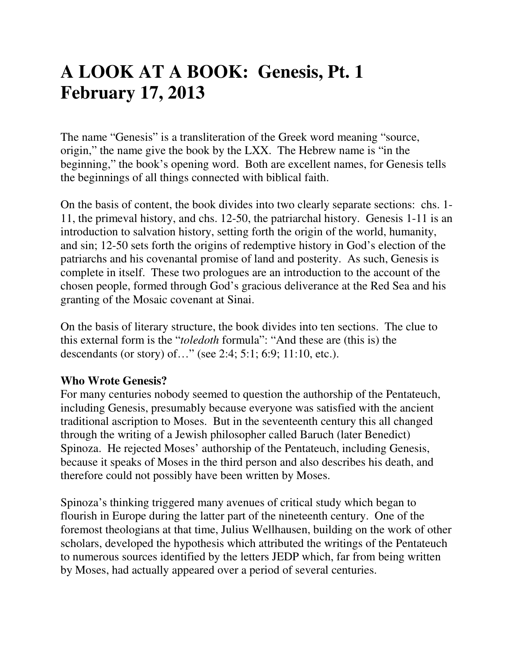# **A LOOK AT A BOOK: Genesis, Pt. 1 February 17, 2013**

The name "Genesis" is a transliteration of the Greek word meaning "source, origin," the name give the book by the LXX. The Hebrew name is "in the beginning," the book's opening word. Both are excellent names, for Genesis tells the beginnings of all things connected with biblical faith.

On the basis of content, the book divides into two clearly separate sections: chs. 1- 11, the primeval history, and chs. 12-50, the patriarchal history. Genesis 1-11 is an introduction to salvation history, setting forth the origin of the world, humanity, and sin; 12-50 sets forth the origins of redemptive history in God's election of the patriarchs and his covenantal promise of land and posterity. As such, Genesis is complete in itself. These two prologues are an introduction to the account of the chosen people, formed through God's gracious deliverance at the Red Sea and his granting of the Mosaic covenant at Sinai.

On the basis of literary structure, the book divides into ten sections. The clue to this external form is the "*toledoth* formula": "And these are (this is) the descendants (or story) of…" (see 2:4; 5:1; 6:9; 11:10, etc.).

## **Who Wrote Genesis?**

For many centuries nobody seemed to question the authorship of the Pentateuch, including Genesis, presumably because everyone was satisfied with the ancient traditional ascription to Moses. But in the seventeenth century this all changed through the writing of a Jewish philosopher called Baruch (later Benedict) Spinoza. He rejected Moses' authorship of the Pentateuch, including Genesis, because it speaks of Moses in the third person and also describes his death, and therefore could not possibly have been written by Moses.

Spinoza's thinking triggered many avenues of critical study which began to flourish in Europe during the latter part of the nineteenth century. One of the foremost theologians at that time, Julius Wellhausen, building on the work of other scholars, developed the hypothesis which attributed the writings of the Pentateuch to numerous sources identified by the letters JEDP which, far from being written by Moses, had actually appeared over a period of several centuries.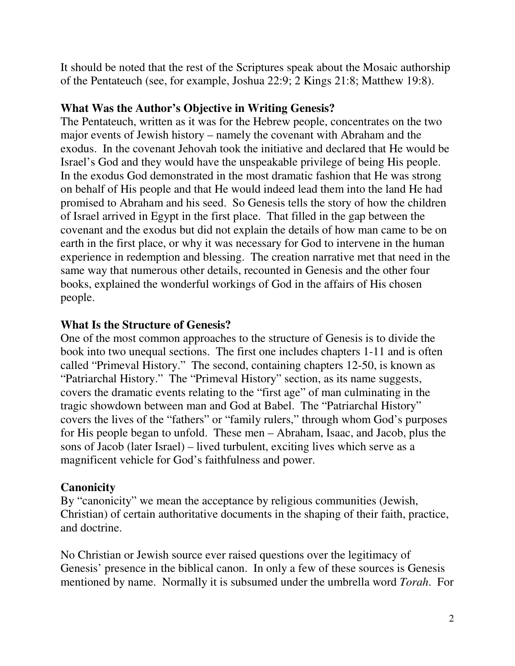It should be noted that the rest of the Scriptures speak about the Mosaic authorship of the Pentateuch (see, for example, Joshua 22:9; 2 Kings 21:8; Matthew 19:8).

#### **What Was the Author's Objective in Writing Genesis?**

The Pentateuch, written as it was for the Hebrew people, concentrates on the two major events of Jewish history – namely the covenant with Abraham and the exodus. In the covenant Jehovah took the initiative and declared that He would be Israel's God and they would have the unspeakable privilege of being His people. In the exodus God demonstrated in the most dramatic fashion that He was strong on behalf of His people and that He would indeed lead them into the land He had promised to Abraham and his seed. So Genesis tells the story of how the children of Israel arrived in Egypt in the first place. That filled in the gap between the covenant and the exodus but did not explain the details of how man came to be on earth in the first place, or why it was necessary for God to intervene in the human experience in redemption and blessing. The creation narrative met that need in the same way that numerous other details, recounted in Genesis and the other four books, explained the wonderful workings of God in the affairs of His chosen people.

## **What Is the Structure of Genesis?**

One of the most common approaches to the structure of Genesis is to divide the book into two unequal sections. The first one includes chapters 1-11 and is often called "Primeval History." The second, containing chapters 12-50, is known as "Patriarchal History." The "Primeval History" section, as its name suggests, covers the dramatic events relating to the "first age" of man culminating in the tragic showdown between man and God at Babel. The "Patriarchal History" covers the lives of the "fathers" or "family rulers," through whom God's purposes for His people began to unfold. These men – Abraham, Isaac, and Jacob, plus the sons of Jacob (later Israel) – lived turbulent, exciting lives which serve as a magnificent vehicle for God's faithfulness and power.

#### **Canonicity**

By "canonicity" we mean the acceptance by religious communities (Jewish, Christian) of certain authoritative documents in the shaping of their faith, practice, and doctrine.

No Christian or Jewish source ever raised questions over the legitimacy of Genesis' presence in the biblical canon. In only a few of these sources is Genesis mentioned by name. Normally it is subsumed under the umbrella word *Torah*. For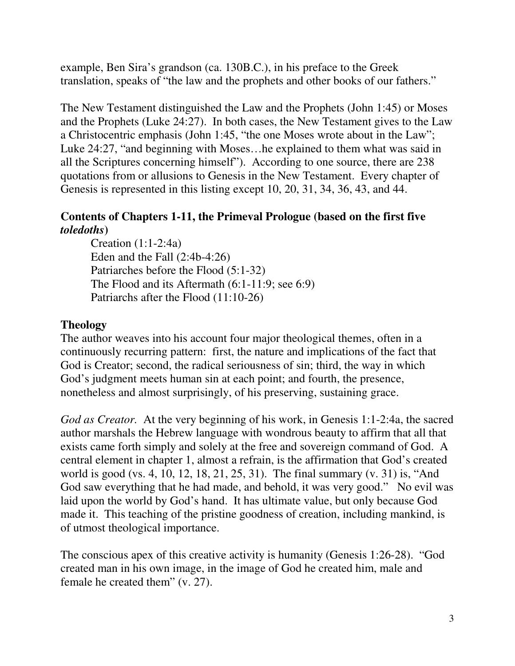example, Ben Sira's grandson (ca. 130B.C.), in his preface to the Greek translation, speaks of "the law and the prophets and other books of our fathers."

The New Testament distinguished the Law and the Prophets (John 1:45) or Moses and the Prophets (Luke 24:27). In both cases, the New Testament gives to the Law a Christocentric emphasis (John 1:45, "the one Moses wrote about in the Law"; Luke 24:27, "and beginning with Moses…he explained to them what was said in all the Scriptures concerning himself"). According to one source, there are 238 quotations from or allusions to Genesis in the New Testament. Every chapter of Genesis is represented in this listing except 10, 20, 31, 34, 36, 43, and 44.

# **Contents of Chapters 1-11, the Primeval Prologue (based on the first five**  *toledoths***)**

 Creation (1:1-2:4a) Eden and the Fall (2:4b-4:26) Patriarches before the Flood (5:1-32) The Flood and its Aftermath (6:1-11:9; see 6:9) Patriarchs after the Flood (11:10-26)

# **Theology**

The author weaves into his account four major theological themes, often in a continuously recurring pattern: first, the nature and implications of the fact that God is Creator; second, the radical seriousness of sin; third, the way in which God's judgment meets human sin at each point; and fourth, the presence, nonetheless and almost surprisingly, of his preserving, sustaining grace.

*God as Creator.* At the very beginning of his work, in Genesis 1:1-2:4a, the sacred author marshals the Hebrew language with wondrous beauty to affirm that all that exists came forth simply and solely at the free and sovereign command of God. A central element in chapter 1, almost a refrain, is the affirmation that God's created world is good (vs. 4, 10, 12, 18, 21, 25, 31). The final summary (v. 31) is, "And God saw everything that he had made, and behold, it was very good." No evil was laid upon the world by God's hand. It has ultimate value, but only because God made it. This teaching of the pristine goodness of creation, including mankind, is of utmost theological importance.

The conscious apex of this creative activity is humanity (Genesis 1:26-28). "God created man in his own image, in the image of God he created him, male and female he created them" (v. 27).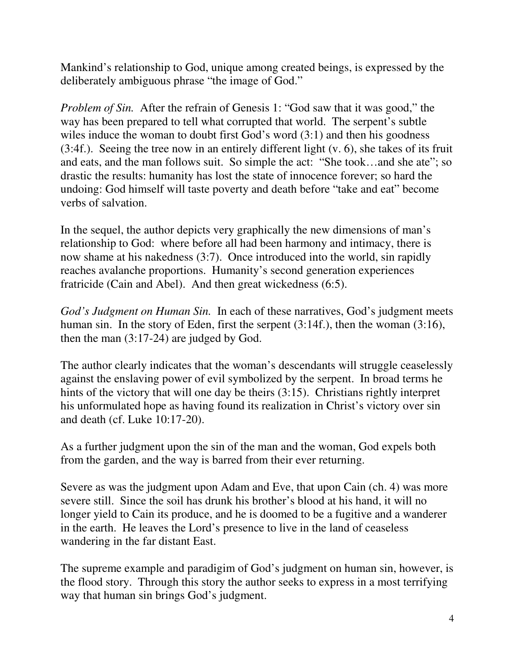Mankind's relationship to God, unique among created beings, is expressed by the deliberately ambiguous phrase "the image of God."

*Problem of Sin.* After the refrain of Genesis 1: "God saw that it was good," the way has been prepared to tell what corrupted that world. The serpent's subtle wiles induce the woman to doubt first God's word  $(3:1)$  and then his goodness (3:4f.). Seeing the tree now in an entirely different light (v. 6), she takes of its fruit and eats, and the man follows suit. So simple the act: "She took…and she ate"; so drastic the results: humanity has lost the state of innocence forever; so hard the undoing: God himself will taste poverty and death before "take and eat" become verbs of salvation.

In the sequel, the author depicts very graphically the new dimensions of man's relationship to God: where before all had been harmony and intimacy, there is now shame at his nakedness (3:7). Once introduced into the world, sin rapidly reaches avalanche proportions. Humanity's second generation experiences fratricide (Cain and Abel). And then great wickedness (6:5).

*God's Judgment on Human Sin.* In each of these narratives, God's judgment meets human sin. In the story of Eden, first the serpent (3:14f.), then the woman (3:16), then the man (3:17-24) are judged by God.

The author clearly indicates that the woman's descendants will struggle ceaselessly against the enslaving power of evil symbolized by the serpent. In broad terms he hints of the victory that will one day be theirs (3:15). Christians rightly interpret his unformulated hope as having found its realization in Christ's victory over sin and death (cf. Luke 10:17-20).

As a further judgment upon the sin of the man and the woman, God expels both from the garden, and the way is barred from their ever returning.

Severe as was the judgment upon Adam and Eve, that upon Cain (ch. 4) was more severe still. Since the soil has drunk his brother's blood at his hand, it will no longer yield to Cain its produce, and he is doomed to be a fugitive and a wanderer in the earth. He leaves the Lord's presence to live in the land of ceaseless wandering in the far distant East.

The supreme example and paradigim of God's judgment on human sin, however, is the flood story. Through this story the author seeks to express in a most terrifying way that human sin brings God's judgment.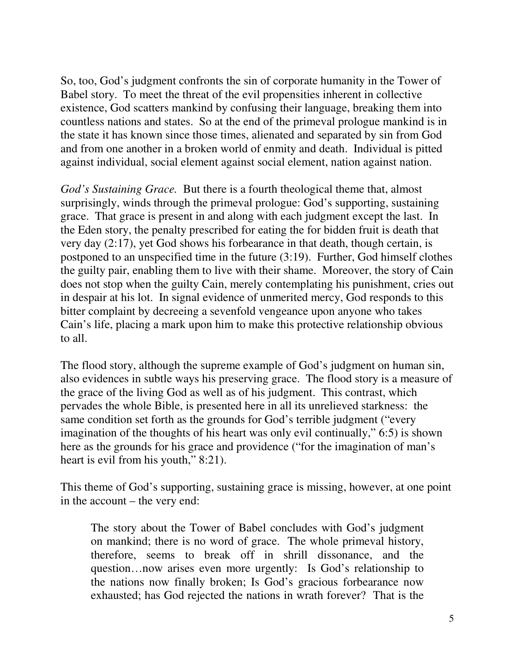So, too, God's judgment confronts the sin of corporate humanity in the Tower of Babel story. To meet the threat of the evil propensities inherent in collective existence, God scatters mankind by confusing their language, breaking them into countless nations and states. So at the end of the primeval prologue mankind is in the state it has known since those times, alienated and separated by sin from God and from one another in a broken world of enmity and death. Individual is pitted against individual, social element against social element, nation against nation.

*God's Sustaining Grace.* But there is a fourth theological theme that, almost surprisingly, winds through the primeval prologue: God's supporting, sustaining grace. That grace is present in and along with each judgment except the last. In the Eden story, the penalty prescribed for eating the for bidden fruit is death that very day (2:17), yet God shows his forbearance in that death, though certain, is postponed to an unspecified time in the future (3:19). Further, God himself clothes the guilty pair, enabling them to live with their shame. Moreover, the story of Cain does not stop when the guilty Cain, merely contemplating his punishment, cries out in despair at his lot. In signal evidence of unmerited mercy, God responds to this bitter complaint by decreeing a sevenfold vengeance upon anyone who takes Cain's life, placing a mark upon him to make this protective relationship obvious to all.

The flood story, although the supreme example of God's judgment on human sin, also evidences in subtle ways his preserving grace. The flood story is a measure of the grace of the living God as well as of his judgment. This contrast, which pervades the whole Bible, is presented here in all its unrelieved starkness: the same condition set forth as the grounds for God's terrible judgment ("every imagination of the thoughts of his heart was only evil continually," 6:5) is shown here as the grounds for his grace and providence ("for the imagination of man's heart is evil from his youth," 8:21).

This theme of God's supporting, sustaining grace is missing, however, at one point in the account – the very end:

The story about the Tower of Babel concludes with God's judgment on mankind; there is no word of grace. The whole primeval history, therefore, seems to break off in shrill dissonance, and the question…now arises even more urgently: Is God's relationship to the nations now finally broken; Is God's gracious forbearance now exhausted; has God rejected the nations in wrath forever? That is the